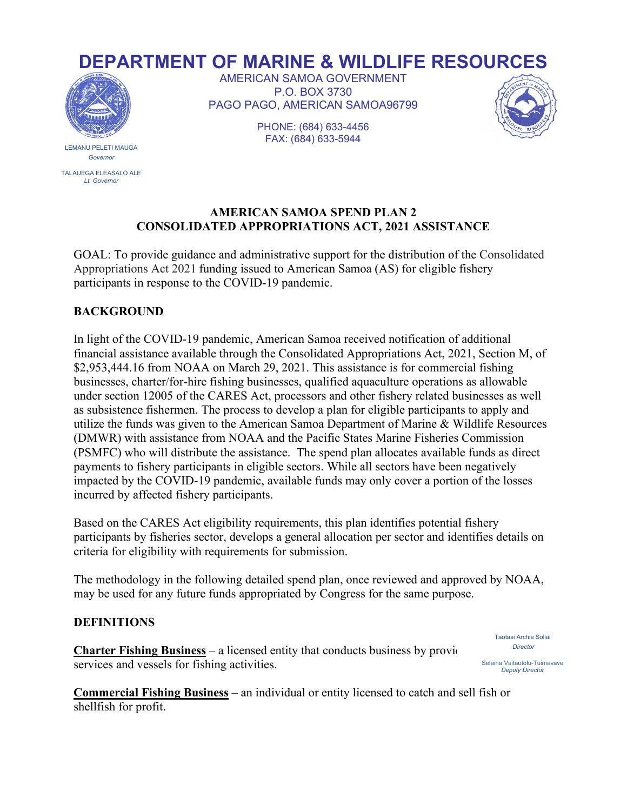# **DEPARTMENT OF MARINE & WILDLIFE RESOURCES**



LEMANU PELETI MAUGA *Governor*

TALAUEGA ELEASALO ALE *Lt. Governor*

AMERICAN SAMOA GOVERNMENT P.O. BOX 3730 PAGO PAGO, AMERICAN SAMOA96799



PHONE: (684) 633-4456 FAX: (684) 633-5944

## **AMERICAN SAMOA SPEND PLAN 2 CONSOLIDATED APPROPRIATIONS ACT, 2021 ASSISTANCE**

GOAL: To provide guidance and administrative support for the distribution of the Consolidated Appropriations Act 2021 funding issued to American Samoa (AS) for eligible fishery participants in response to the COVID-19 pandemic.

# **BACKGROUND**

In light of the COVID-19 pandemic, American Samoa received notification of additional financial assistance available through the Consolidated Appropriations Act, 2021, Section M, of \$2,953,444.16 from NOAA on March 29, 2021. This assistance is for commercial fishing businesses, charter/for-hire fishing businesses, qualified aquaculture operations as allowable under section 12005 of the CARES Act, processors and other fishery related businesses as well as subsistence fishermen. The process to develop a plan for eligible participants to apply and utilize the funds was given to the American Samoa Department of Marine & Wildlife Resources (DMWR) with assistance from NOAA and the Pacific States Marine Fisheries Commission (PSMFC) who will distribute the assistance. The spend plan allocates available funds as direct payments to fishery participants in eligible sectors. While all sectors have been negatively impacted by the COVID-19 pandemic, available funds may only cover a portion of the losses incurred by affected fishery participants.

Based on the CARES Act eligibility requirements, this plan identifies potential fishery participants by fisheries sector, develops a general allocation per sector and identifies details on criteria for eligibility with requirements for submission.

The methodology in the following detailed spend plan, once reviewed and approved by NOAA, may be used for any future funds appropriated by Congress for the same purpose.

# **DEFINITIONS**

**Charter Fishing Business** – a licensed entity that conducts business by providing chartering chartering chartering chartering chartering chartering chartering chartering chartering chartering chartering chartering charte services and vessels for fishing activities.

Taotasi Archie Soliai *Director*

Selaina Vaitautolu-Tuimavave *Deputy Director* 

**Commercial Fishing Business** – an individual or entity licensed to catch and sell fish or shellfish for profit.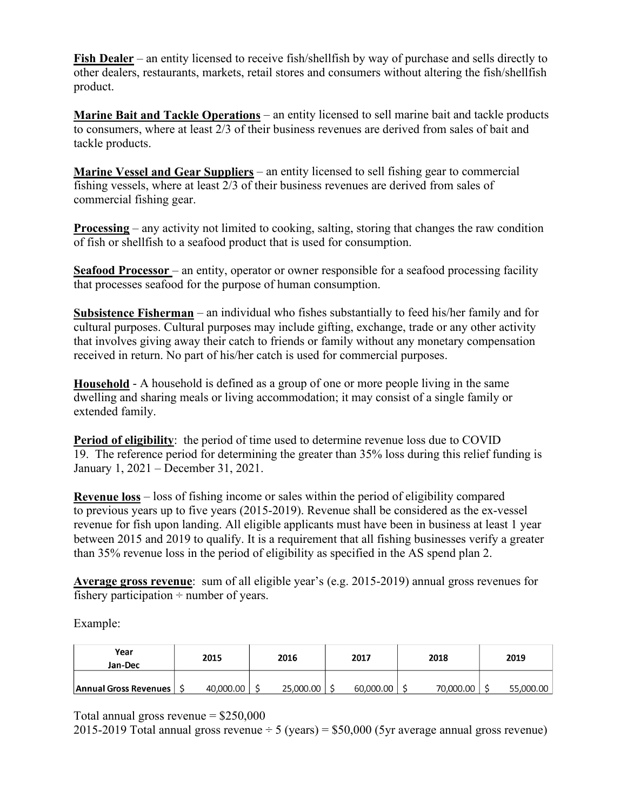**Fish Dealer** – an entity licensed to receive fish/shellfish by way of purchase and sells directly to other dealers, restaurants, markets, retail stores and consumers without altering the fish/shellfish product.

**Marine Bait and Tackle Operations** – an entity licensed to sell marine bait and tackle products to consumers, where at least 2/3 of their business revenues are derived from sales of bait and tackle products.

**Marine Vessel and Gear Suppliers** – an entity licensed to sell fishing gear to commercial fishing vessels, where at least 2/3 of their business revenues are derived from sales of commercial fishing gear.

**Processing** – any activity not limited to cooking, salting, storing that changes the raw condition of fish or shellfish to a seafood product that is used for consumption.

**Seafood Processor** – an entity, operator or owner responsible for a seafood processing facility that processes seafood for the purpose of human consumption.

**Subsistence Fisherman** – an individual who fishes substantially to feed his/her family and for cultural purposes. Cultural purposes may include gifting, exchange, trade or any other activity that involves giving away their catch to friends or family without any monetary compensation received in return. No part of his/her catch is used for commercial purposes.

**Household** - A household is defined as a group of one or more people living in the same dwelling and sharing meals or living accommodation; it may consist of a single family or extended family.

**Period of eligibility:** the period of time used to determine revenue loss due to COVID 19. The reference period for determining the greater than 35% loss during this relief funding is January 1, 2021 – December 31, 2021.

**Revenue loss** – loss of fishing income or sales within the period of eligibility compared to previous years up to five years (2015-2019). Revenue shall be considered as the ex-vessel revenue for fish upon landing. All eligible applicants must have been in business at least 1 year between 2015 and 2019 to qualify. It is a requirement that all fishing businesses verify a greater than 35% revenue loss in the period of eligibility as specified in the AS spend plan 2.

**Average gross revenue**: sum of all eligible year's (e.g. 2015-2019) annual gross revenues for fishery participation  $\div$  number of years.

Example:

| Year<br>Jan-Dec              | 2015      | 2016      | 2017      | 2018      | 2019      |
|------------------------------|-----------|-----------|-----------|-----------|-----------|
| <b>Annual Gross Revenues</b> | 40,000.00 | 25,000.00 | 60,000.00 | 70,000.00 | 55,000.00 |

Total annual gross revenue  $=$  \$250,000

2015-2019 Total annual gross revenue  $\div$  5 (years) = \$50,000 (5yr average annual gross revenue)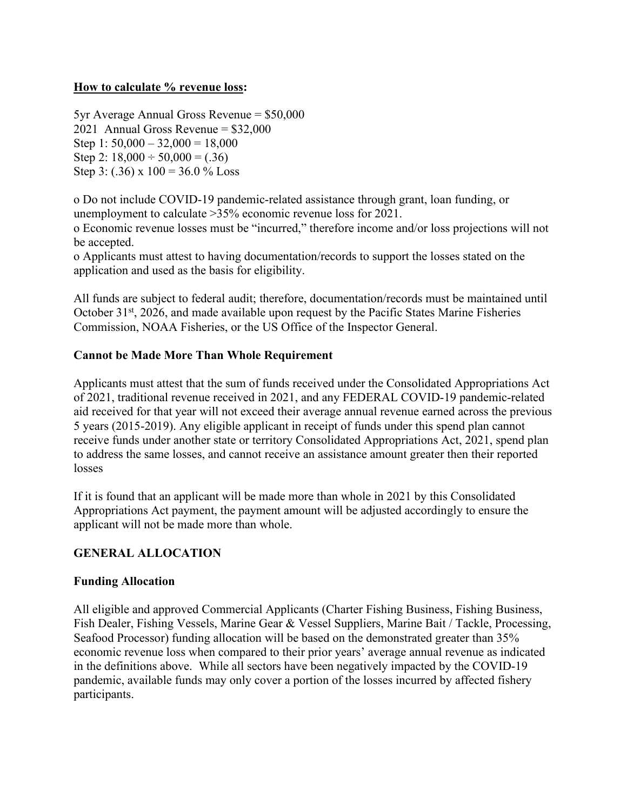# **How to calculate % revenue loss:**

5yr Average Annual Gross Revenue = \$50,000 2021 Annual Gross Revenue = \$32,000 Step 1:  $50,000 - 32,000 = 18,000$ Step 2:  $18,000 \div 50,000 = (.36)$ Step 3: (.36) x  $100 = 36.0 %$  Loss

o Do not include COVID-19 pandemic-related assistance through grant, loan funding, or unemployment to calculate >35% economic revenue loss for 2021. o Economic revenue losses must be "incurred," therefore income and/or loss projections will not

be accepted. o Applicants must attest to having documentation/records to support the losses stated on the application and used as the basis for eligibility.

All funds are subject to federal audit; therefore, documentation/records must be maintained until October 31<sup>st</sup>, 2026, and made available upon request by the Pacific States Marine Fisheries Commission, NOAA Fisheries, or the US Office of the Inspector General.

# **Cannot be Made More Than Whole Requirement**

Applicants must attest that the sum of funds received under the Consolidated Appropriations Act of 2021, traditional revenue received in 2021, and any FEDERAL COVID-19 pandemic-related aid received for that year will not exceed their average annual revenue earned across the previous 5 years (2015-2019). Any eligible applicant in receipt of funds under this spend plan cannot receive funds under another state or territory Consolidated Appropriations Act, 2021, spend plan to address the same losses, and cannot receive an assistance amount greater then their reported losses

If it is found that an applicant will be made more than whole in 2021 by this Consolidated Appropriations Act payment, the payment amount will be adjusted accordingly to ensure the applicant will not be made more than whole.

# **GENERAL ALLOCATION**

#### **Funding Allocation**

All eligible and approved Commercial Applicants (Charter Fishing Business, Fishing Business, Fish Dealer, Fishing Vessels, Marine Gear & Vessel Suppliers, Marine Bait / Tackle, Processing, Seafood Processor) funding allocation will be based on the demonstrated greater than 35% economic revenue loss when compared to their prior years' average annual revenue as indicated in the definitions above. While all sectors have been negatively impacted by the COVID-19 pandemic, available funds may only cover a portion of the losses incurred by affected fishery participants.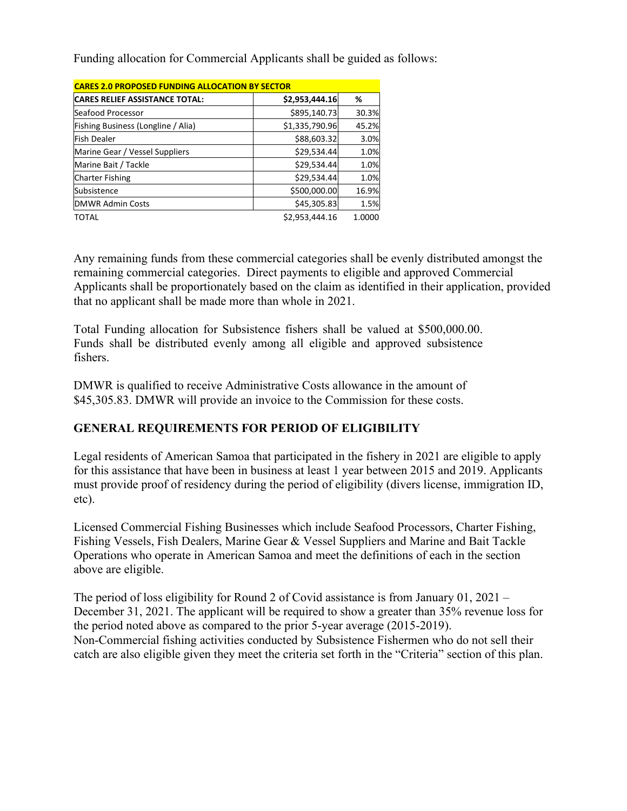Funding allocation for Commercial Applicants shall be guided as follows:

| <b>CARES 2.0 PROPOSED FUNDING ALLOCATION BY SECTOR</b> |                |        |  |  |  |  |
|--------------------------------------------------------|----------------|--------|--|--|--|--|
| <b>CARES RELIEF ASSISTANCE TOTAL:</b>                  | \$2,953,444.16 | %      |  |  |  |  |
| Seafood Processor                                      | \$895,140.73   | 30.3%  |  |  |  |  |
| Fishing Business (Longline / Alia)                     | \$1,335,790.96 | 45.2%  |  |  |  |  |
| Fish Dealer                                            | \$88,603.32    | 3.0%   |  |  |  |  |
| Marine Gear / Vessel Suppliers                         | \$29,534.44    | 1.0%   |  |  |  |  |
| Marine Bait / Tackle                                   | \$29,534.44    | 1.0%   |  |  |  |  |
| <b>Charter Fishing</b>                                 | \$29,534.44    | 1.0%   |  |  |  |  |
| Subsistence                                            | \$500,000.00   | 16.9%  |  |  |  |  |
| <b>DMWR Admin Costs</b>                                | \$45,305.83    | 1.5%   |  |  |  |  |
| <b>TOTAL</b>                                           | \$2,953,444.16 | 1.0000 |  |  |  |  |

Any remaining funds from these commercial categories shall be evenly distributed amongst the remaining commercial categories. Direct payments to eligible and approved Commercial Applicants shall be proportionately based on the claim as identified in their application, provided that no applicant shall be made more than whole in 2021.

Total Funding allocation for Subsistence fishers shall be valued at \$500,000.00. Funds shall be distributed evenly among all eligible and approved subsistence fishers.

DMWR is qualified to receive Administrative Costs allowance in the amount of \$45,305.83. DMWR will provide an invoice to the Commission for these costs.

# **GENERAL REQUIREMENTS FOR PERIOD OF ELIGIBILITY**

Legal residents of American Samoa that participated in the fishery in 2021 are eligible to apply for this assistance that have been in business at least 1 year between 2015 and 2019. Applicants must provide proof of residency during the period of eligibility (divers license, immigration ID, etc).

Licensed Commercial Fishing Businesses which include Seafood Processors, Charter Fishing, Fishing Vessels, Fish Dealers, Marine Gear & Vessel Suppliers and Marine and Bait Tackle Operations who operate in American Samoa and meet the definitions of each in the section above are eligible.

The period of loss eligibility for Round 2 of Covid assistance is from January 01, 2021 – December 31, 2021. The applicant will be required to show a greater than 35% revenue loss for the period noted above as compared to the prior 5-year average (2015-2019). Non-Commercial fishing activities conducted by Subsistence Fishermen who do not sell their catch are also eligible given they meet the criteria set forth in the "Criteria" section of this plan.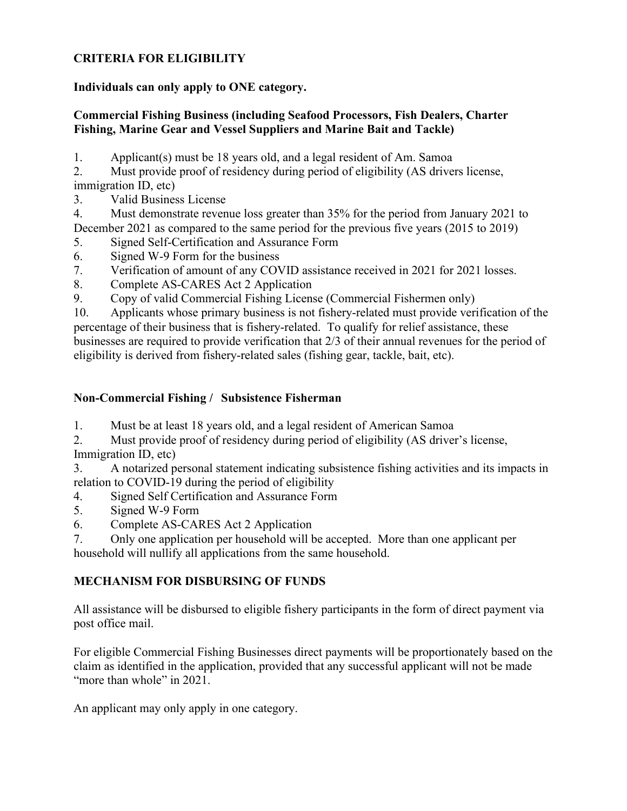# **CRITERIA FOR ELIGIBILITY**

## **Individuals can only apply to ONE category.**

# **Commercial Fishing Business (including Seafood Processors, Fish Dealers, Charter Fishing, Marine Gear and Vessel Suppliers and Marine Bait and Tackle)**

1. Applicant(s) must be 18 years old, and a legal resident of Am. Samoa

2. Must provide proof of residency during period of eligibility (AS drivers license, immigration ID, etc)

- 3. Valid Business License
- 4. Must demonstrate revenue loss greater than 35% for the period from January 2021 to December 2021 as compared to the same period for the previous five years (2015 to 2019)
- 5. Signed Self-Certification and Assurance Form
- 6. Signed W-9 Form for the business
- 7. Verification of amount of any COVID assistance received in 2021 for 2021 losses.
- 8. Complete AS-CARES Act 2 Application
- 9. Copy of valid Commercial Fishing License (Commercial Fishermen only)

10. Applicants whose primary business is not fishery-related must provide verification of the percentage of their business that is fishery-related. To qualify for relief assistance, these businesses are required to provide verification that 2/3 of their annual revenues for the period of eligibility is derived from fishery-related sales (fishing gear, tackle, bait, etc).

# **Non-Commercial Fishing / Subsistence Fisherman**

- 1. Must be at least 18 years old, and a legal resident of American Samoa
- 2. Must provide proof of residency during period of eligibility (AS driver's license, Immigration ID, etc)
- 3. A notarized personal statement indicating subsistence fishing activities and its impacts in relation to COVID-19 during the period of eligibility
- 4. Signed Self Certification and Assurance Form
- 5. Signed W-9 Form
- 6. Complete AS-CARES Act 2 Application
- 7. Only one application per household will be accepted. More than one applicant per household will nullify all applications from the same household.

# **MECHANISM FOR DISBURSING OF FUNDS**

All assistance will be disbursed to eligible fishery participants in the form of direct payment via post office mail.

For eligible Commercial Fishing Businesses direct payments will be proportionately based on the claim as identified in the application, provided that any successful applicant will not be made "more than whole" in 2021.

An applicant may only apply in one category.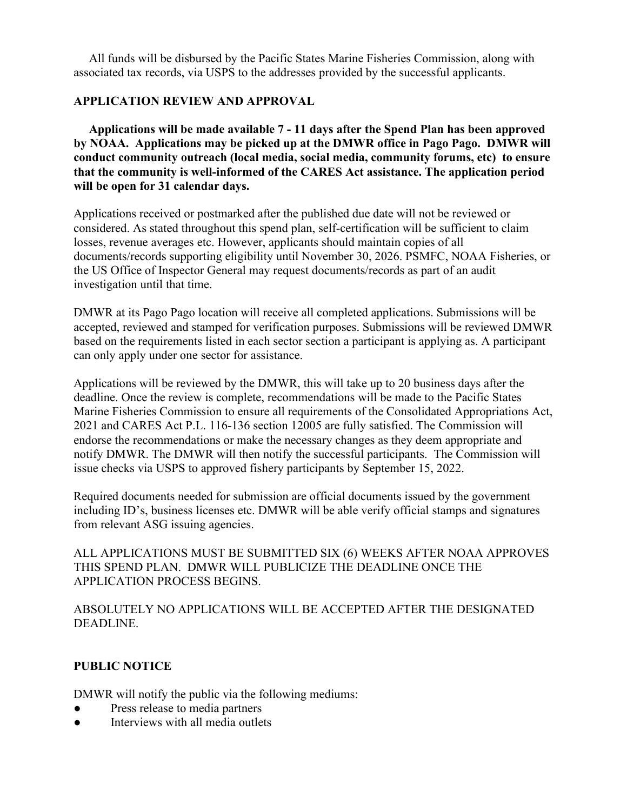All funds will be disbursed by the Pacific States Marine Fisheries Commission, along with associated tax records, via USPS to the addresses provided by the successful applicants.

# **APPLICATION REVIEW AND APPROVAL**

 **Applications will be made available 7 - 11 days after the Spend Plan has been approved by NOAA. Applications may be picked up at the DMWR office in Pago Pago. DMWR will conduct community outreach (local media, social media, community forums, etc) to ensure that the community is well-informed of the CARES Act assistance. The application period will be open for 31 calendar days.** 

Applications received or postmarked after the published due date will not be reviewed or considered. As stated throughout this spend plan, self-certification will be sufficient to claim losses, revenue averages etc. However, applicants should maintain copies of all documents/records supporting eligibility until November 30, 2026. PSMFC, NOAA Fisheries, or the US Office of Inspector General may request documents/records as part of an audit investigation until that time.

DMWR at its Pago Pago location will receive all completed applications. Submissions will be accepted, reviewed and stamped for verification purposes. Submissions will be reviewed DMWR based on the requirements listed in each sector section a participant is applying as. A participant can only apply under one sector for assistance.

Applications will be reviewed by the DMWR, this will take up to 20 business days after the deadline. Once the review is complete, recommendations will be made to the Pacific States Marine Fisheries Commission to ensure all requirements of the Consolidated Appropriations Act, 2021 and CARES Act P.L. 116-136 section 12005 are fully satisfied. The Commission will endorse the recommendations or make the necessary changes as they deem appropriate and notify DMWR. The DMWR will then notify the successful participants. The Commission will issue checks via USPS to approved fishery participants by September 15, 2022.

Required documents needed for submission are official documents issued by the government including ID's, business licenses etc. DMWR will be able verify official stamps and signatures from relevant ASG issuing agencies.

ALL APPLICATIONS MUST BE SUBMITTED SIX (6) WEEKS AFTER NOAA APPROVES THIS SPEND PLAN. DMWR WILL PUBLICIZE THE DEADLINE ONCE THE APPLICATION PROCESS BEGINS.

ABSOLUTELY NO APPLICATIONS WILL BE ACCEPTED AFTER THE DESIGNATED DEADLINE.

#### **PUBLIC NOTICE**

DMWR will notify the public via the following mediums:

- Press release to media partners
- Interviews with all media outlets